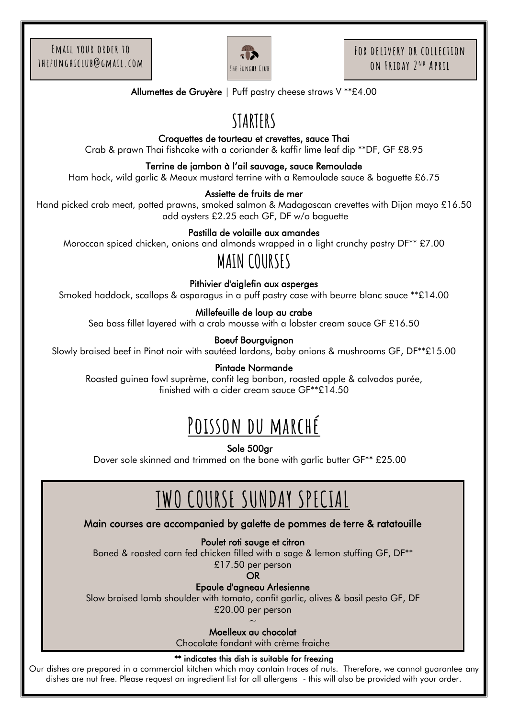

Allumettes de Gruyère | Puff pastry cheese straws V \*\*£4.00

# **STARTERS**

Croquettes de tourteau et crevettes, sauce Thai

Crab & prawn Thai fishcake with a coriander & kaffir lime leaf dip \*\*DF, GF £8.95

#### Terrine de jambon à l'ail sauvage, sauce Remoulade

Ham hock, wild garlic & Meaux mustard terrine with a Remoulade sauce & baguette £6.75

#### Assiette de fruits de mer

Hand picked crab meat, potted prawns, smoked salmon & Madagascan crevettes with Dijon mayo £16.50 add oysters £2.25 each GF, DF w/o baguette

### Pastilla de volaille aux amandes

Moroccan spiced chicken, onions and almonds wrapped in a light crunchy pastry DF<sup>\*\*</sup> £7.00

# **MAIN COURSES**

#### Pithivier d'aiglefin aux asperges

Smoked haddock, scallops & asparagus in a puff pastry case with beurre blanc sauce \*\*£14.00

#### Millefeuille de loup au crabe

Sea bass fillet layered with a crab mousse with a lobster cream sauce GF £16.50

Boeuf Bourguignon

Slowly braised beef in Pinot noir with sautéed lardons, baby onions & mushrooms GF, DF\*\*£15.00

#### Pintade Normande

Roasted guinea fowl suprème, confit leg bonbon, roasted apple & calvados purée, finished with a cider cream sauce GF\*\*£14.50

# **Poisson du marché**

Sole 500gr

ؘ Dover sole skinned and trimmed on the bone with garlic butter GF\*\* £25.00

#### ī I **TWO COURSE SUNDAY SPECIAL**

#### J Main courses are accompanied by galette de pommes de terre & ratatouille

Poulet roti sauge et citron

Boned & roasted corn fed chicken filled with a sage & lemon stuffing GF, DF\*\*

£17.50 per person

OR

Epaule d'agneau Arlesienne

Slow braised lamb shoulder with tomato, confit garlic, olives & basil pesto GF, DF

 £20.00 per person  $\overline{\phantom{0}}$  $\sim$ 

Moelleux au chocolat

j Chocolate fondant with crème fraiche

#### \*\* indicates this dish is suitable for freezing

Our dishes are prepared in a commercial kitchen which may contain traces of nuts. Therefore, we cannot guarantee any dishes are nut free. Please request an ingredient list for all allergens - this will also be provided with your order.